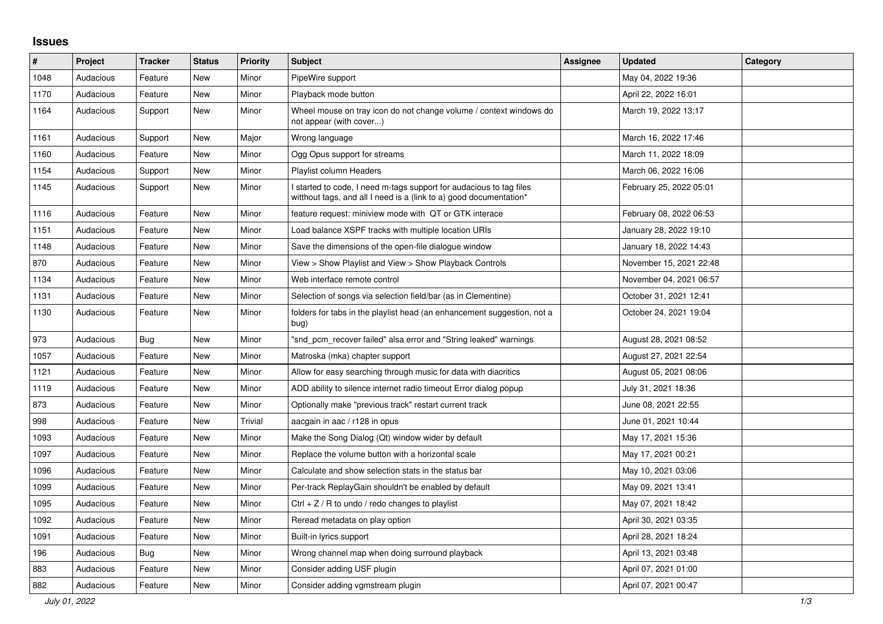## **Issues**

| $\#$ | <b>Project</b> | <b>Tracker</b> | <b>Status</b> | <b>Priority</b> | <b>Subject</b>                                                                                                                            | Assignee | <b>Updated</b>          | Category |
|------|----------------|----------------|---------------|-----------------|-------------------------------------------------------------------------------------------------------------------------------------------|----------|-------------------------|----------|
| 1048 | Audacious      | Feature        | <b>New</b>    | Minor           | PipeWire support                                                                                                                          |          | May 04, 2022 19:36      |          |
| 1170 | Audacious      | Feature        | New           | Minor           | Playback mode button                                                                                                                      |          | April 22, 2022 16:01    |          |
| 1164 | Audacious      | Support        | New           | Minor           | Wheel mouse on tray icon do not change volume / context windows do<br>not appear (with cover)                                             |          | March 19, 2022 13:17    |          |
| 1161 | Audacious      | Support        | <b>New</b>    | Major           | Wrong language                                                                                                                            |          | March 16, 2022 17:46    |          |
| 1160 | Audacious      | Feature        | New           | Minor           | Ogg Opus support for streams                                                                                                              |          | March 11, 2022 18:09    |          |
| 1154 | Audacious      | Support        | New           | Minor           | Playlist column Headers                                                                                                                   |          | March 06, 2022 16:06    |          |
| 1145 | Audacious      | Support        | New           | Minor           | I started to code, I need m-tags support for audacious to tag files<br>witthout tags, and all I need is a (link to a) good documentation* |          | February 25, 2022 05:01 |          |
| 1116 | Audacious      | Feature        | New           | Minor           | feature request: miniview mode with QT or GTK interace                                                                                    |          | February 08, 2022 06:53 |          |
| 1151 | Audacious      | Feature        | New           | Minor           | Load balance XSPF tracks with multiple location URIs                                                                                      |          | January 28, 2022 19:10  |          |
| 1148 | Audacious      | Feature        | New           | Minor           | Save the dimensions of the open-file dialogue window                                                                                      |          | January 18, 2022 14:43  |          |
| 870  | Audacious      | Feature        | New           | Minor           | View > Show Playlist and View > Show Playback Controls                                                                                    |          | November 15, 2021 22:48 |          |
| 1134 | Audacious      | Feature        | <b>New</b>    | Minor           | Web interface remote control                                                                                                              |          | November 04, 2021 06:57 |          |
| 1131 | Audacious      | Feature        | New           | Minor           | Selection of songs via selection field/bar (as in Clementine)                                                                             |          | October 31, 2021 12:41  |          |
| 1130 | Audacious      | Feature        | New           | Minor           | folders for tabs in the playlist head (an enhancement suggestion, not a<br>bug)                                                           |          | October 24, 2021 19:04  |          |
| 973  | Audacious      | Bug            | New           | Minor           | "snd_pcm_recover failed" alsa error and "String leaked" warnings                                                                          |          | August 28, 2021 08:52   |          |
| 1057 | Audacious      | Feature        | New           | Minor           | Matroska (mka) chapter support                                                                                                            |          | August 27, 2021 22:54   |          |
| 1121 | Audacious      | Feature        | New           | Minor           | Allow for easy searching through music for data with diacritics                                                                           |          | August 05, 2021 08:06   |          |
| 1119 | Audacious      | Feature        | New           | Minor           | ADD ability to silence internet radio timeout Error dialog popup                                                                          |          | July 31, 2021 18:36     |          |
| 873  | Audacious      | Feature        | <b>New</b>    | Minor           | Optionally make "previous track" restart current track                                                                                    |          | June 08, 2021 22:55     |          |
| 998  | Audacious      | Feature        | <b>New</b>    | Trivial         | aacgain in aac / r128 in opus                                                                                                             |          | June 01, 2021 10:44     |          |
| 1093 | Audacious      | Feature        | New           | Minor           | Make the Song Dialog (Qt) window wider by default                                                                                         |          | May 17, 2021 15:36      |          |
| 1097 | Audacious      | Feature        | New           | Minor           | Replace the volume button with a horizontal scale                                                                                         |          | May 17, 2021 00:21      |          |
| 1096 | Audacious      | Feature        | New           | Minor           | Calculate and show selection stats in the status bar                                                                                      |          | May 10, 2021 03:06      |          |
| 1099 | Audacious      | Feature        | <b>New</b>    | Minor           | Per-track ReplayGain shouldn't be enabled by default                                                                                      |          | May 09, 2021 13:41      |          |
| 1095 | Audacious      | Feature        | New           | Minor           | Ctrl + $Z$ / R to undo / redo changes to playlist                                                                                         |          | May 07, 2021 18:42      |          |
| 1092 | Audacious      | Feature        | New           | Minor           | Reread metadata on play option                                                                                                            |          | April 30, 2021 03:35    |          |
| 1091 | Audacious      | Feature        | New           | Minor           | Built-in lyrics support                                                                                                                   |          | April 28, 2021 18:24    |          |
| 196  | Audacious      | Bug            | New           | Minor           | Wrong channel map when doing surround playback                                                                                            |          | April 13, 2021 03:48    |          |
| 883  | Audacious      | Feature        | New           | Minor           | Consider adding USF plugin                                                                                                                |          | April 07, 2021 01:00    |          |
| 882  | Audacious      | Feature        | New           | Minor           | Consider adding vgmstream plugin                                                                                                          |          | April 07, 2021 00:47    |          |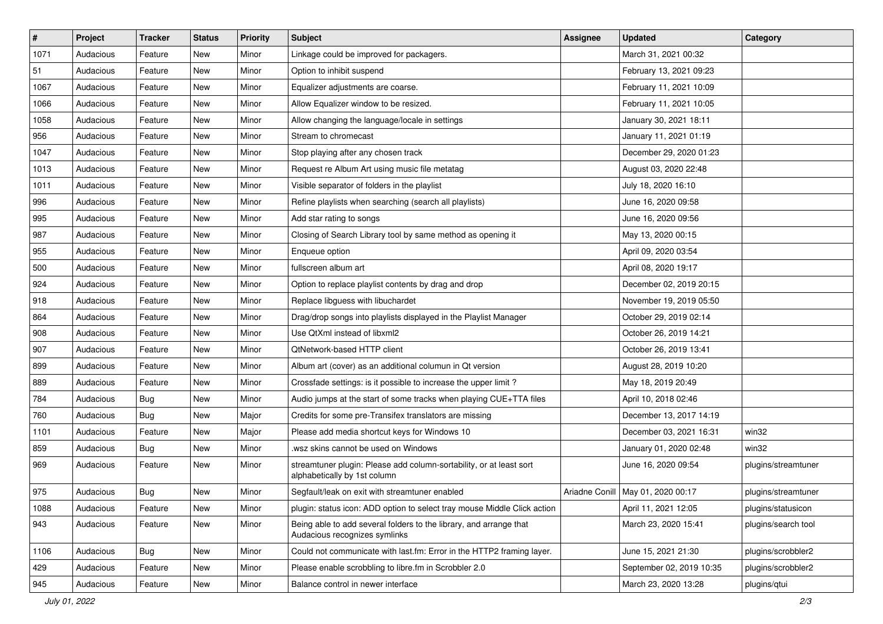| $\vert$ # | Project   | <b>Tracker</b> | <b>Status</b> | <b>Priority</b> | <b>Subject</b>                                                                                      | <b>Assignee</b> | <b>Updated</b>                      | Category            |
|-----------|-----------|----------------|---------------|-----------------|-----------------------------------------------------------------------------------------------------|-----------------|-------------------------------------|---------------------|
| 1071      | Audacious | Feature        | New           | Minor           | Linkage could be improved for packagers.                                                            |                 | March 31, 2021 00:32                |                     |
| 51        | Audacious | Feature        | <b>New</b>    | Minor           | Option to inhibit suspend                                                                           |                 | February 13, 2021 09:23             |                     |
| 1067      | Audacious | Feature        | New           | Minor           | Equalizer adjustments are coarse.                                                                   |                 | February 11, 2021 10:09             |                     |
| 1066      | Audacious | Feature        | New           | Minor           | Allow Equalizer window to be resized.                                                               |                 | February 11, 2021 10:05             |                     |
| 1058      | Audacious | Feature        | <b>New</b>    | Minor           | Allow changing the language/locale in settings                                                      |                 | January 30, 2021 18:11              |                     |
| 956       | Audacious | Feature        | New           | Minor           | Stream to chromecast                                                                                |                 | January 11, 2021 01:19              |                     |
| 1047      | Audacious | Feature        | New           | Minor           | Stop playing after any chosen track                                                                 |                 | December 29, 2020 01:23             |                     |
| 1013      | Audacious | Feature        | New           | Minor           | Request re Album Art using music file metatag                                                       |                 | August 03, 2020 22:48               |                     |
| 1011      | Audacious | Feature        | New           | Minor           | Visible separator of folders in the playlist                                                        |                 | July 18, 2020 16:10                 |                     |
| 996       | Audacious | Feature        | <b>New</b>    | Minor           | Refine playlists when searching (search all playlists)                                              |                 | June 16, 2020 09:58                 |                     |
| 995       | Audacious | Feature        | New           | Minor           | Add star rating to songs                                                                            |                 | June 16, 2020 09:56                 |                     |
| 987       | Audacious | Feature        | <b>New</b>    | Minor           | Closing of Search Library tool by same method as opening it                                         |                 | May 13, 2020 00:15                  |                     |
| 955       | Audacious | Feature        | New           | Minor           | Enqueue option                                                                                      |                 | April 09, 2020 03:54                |                     |
| 500       | Audacious | Feature        | New           | Minor           | fullscreen album art                                                                                |                 | April 08, 2020 19:17                |                     |
| 924       | Audacious | Feature        | <b>New</b>    | Minor           | Option to replace playlist contents by drag and drop                                                |                 | December 02, 2019 20:15             |                     |
| 918       | Audacious | Feature        | New           | Minor           | Replace libguess with libuchardet                                                                   |                 | November 19, 2019 05:50             |                     |
| 864       | Audacious | Feature        | New           | Minor           | Drag/drop songs into playlists displayed in the Playlist Manager                                    |                 | October 29, 2019 02:14              |                     |
| 908       | Audacious | Feature        | New           | Minor           | Use QtXml instead of libxml2                                                                        |                 | October 26, 2019 14:21              |                     |
| 907       | Audacious | Feature        | New           | Minor           | QtNetwork-based HTTP client                                                                         |                 | October 26, 2019 13:41              |                     |
| 899       | Audacious | Feature        | New           | Minor           | Album art (cover) as an additional columun in Qt version                                            |                 | August 28, 2019 10:20               |                     |
| 889       | Audacious | Feature        | New           | Minor           | Crossfade settings: is it possible to increase the upper limit?                                     |                 | May 18, 2019 20:49                  |                     |
| 784       | Audacious | <b>Bug</b>     | New           | Minor           | Audio jumps at the start of some tracks when playing CUE+TTA files                                  |                 | April 10, 2018 02:46                |                     |
| 760       | Audacious | <b>Bug</b>     | New           | Major           | Credits for some pre-Transifex translators are missing                                              |                 | December 13, 2017 14:19             |                     |
| 1101      | Audacious | Feature        | New           | Major           | Please add media shortcut keys for Windows 10                                                       |                 | December 03, 2021 16:31             | win32               |
| 859       | Audacious | <b>Bug</b>     | New           | Minor           | .wsz skins cannot be used on Windows                                                                |                 | January 01, 2020 02:48              | win32               |
| 969       | Audacious | Feature        | New           | Minor           | streamtuner plugin: Please add column-sortability, or at least sort<br>alphabetically by 1st column |                 | June 16, 2020 09:54                 | plugins/streamtuner |
| 975       | Audacious | <b>Bug</b>     | New           | Minor           | Segfault/leak on exit with streamtuner enabled                                                      |                 | Ariadne Conill   May 01, 2020 00:17 | plugins/streamtuner |
| 1088      | Audacious | Feature        | New           | Minor           | plugin: status icon: ADD option to select tray mouse Middle Click action                            |                 | April 11, 2021 12:05                | plugins/statusicon  |
| 943       | Audacious | Feature        | New           | Minor           | Being able to add several folders to the library, and arrange that<br>Audacious recognizes symlinks |                 | March 23, 2020 15:41                | plugins/search tool |
| 1106      | Audacious | Bug            | New           | Minor           | Could not communicate with last.fm: Error in the HTTP2 framing layer.                               |                 | June 15, 2021 21:30                 | plugins/scrobbler2  |
| 429       | Audacious | Feature        | New           | Minor           | Please enable scrobbling to libre.fm in Scrobbler 2.0                                               |                 | September 02, 2019 10:35            | plugins/scrobbler2  |
| 945       | Audacious | Feature        | New           | Minor           | Balance control in newer interface                                                                  |                 | March 23, 2020 13:28                | plugins/qtui        |